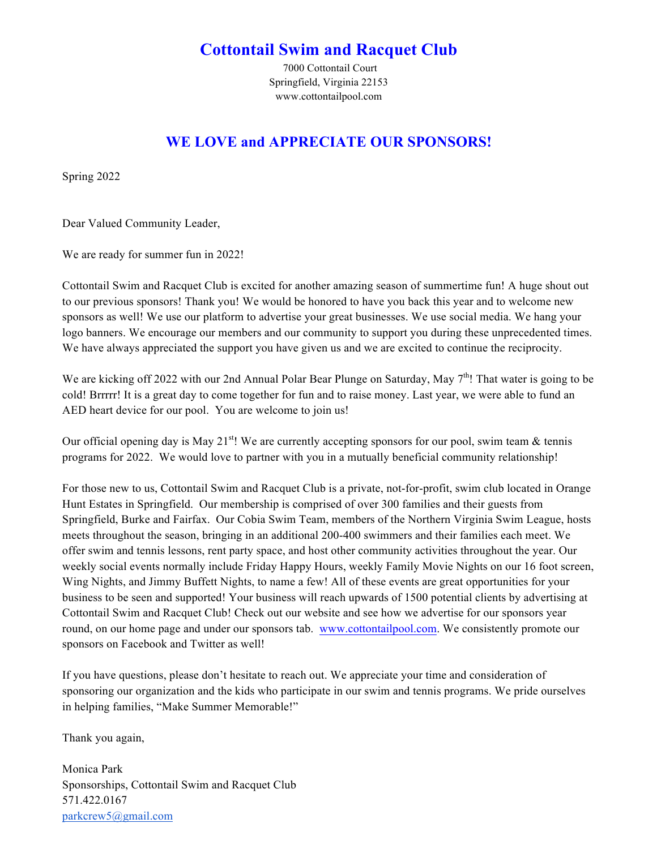## **Cottontail Swim and Racquet Club**

7000 Cottontail Court Springfield, Virginia 22153 www.cottontailpool.com

### **WE LOVE and APPRECIATE OUR SPONSORS!**

Spring 2022

Dear Valued Community Leader,

We are ready for summer fun in 2022!

Cottontail Swim and Racquet Club is excited for another amazing season of summertime fun! A huge shout out to our previous sponsors! Thank you! We would be honored to have you back this year and to welcome new sponsors as well! We use our platform to advertise your great businesses. We use social media. We hang your logo banners. We encourage our members and our community to support you during these unprecedented times. We have always appreciated the support you have given us and we are excited to continue the reciprocity.

We are kicking off 2022 with our 2nd Annual Polar Bear Plunge on Saturday, May 7<sup>th</sup>! That water is going to be cold! Brrrrr! It is a great day to come together for fun and to raise money. Last year, we were able to fund an AED heart device for our pool. You are welcome to join us!

Our official opening day is May 21<sup>st</sup>! We are currently accepting sponsors for our pool, swim team  $\&$  tennis programs for 2022. We would love to partner with you in a mutually beneficial community relationship!

For those new to us, Cottontail Swim and Racquet Club is a private, not-for-profit, swim club located in Orange Hunt Estates in Springfield. Our membership is comprised of over 300 families and their guests from Springfield, Burke and Fairfax. Our Cobia Swim Team, members of the Northern Virginia Swim League, hosts meets throughout the season, bringing in an additional 200-400 swimmers and their families each meet. We offer swim and tennis lessons, rent party space, and host other community activities throughout the year. Our weekly social events normally include Friday Happy Hours, weekly Family Movie Nights on our 16 foot screen, Wing Nights, and Jimmy Buffett Nights, to name a few! All of these events are great opportunities for your business to be seen and supported! Your business will reach upwards of 1500 potential clients by advertising at Cottontail Swim and Racquet Club! Check out our website and see how we advertise for our sponsors year round, on our home page and under our sponsors tab. www.cottontailpool.com. We consistently promote our sponsors on Facebook and Twitter as well!

If you have questions, please don't hesitate to reach out. We appreciate your time and consideration of sponsoring our organization and the kids who participate in our swim and tennis programs. We pride ourselves in helping families, "Make Summer Memorable!"

Thank you again,

Monica Park Sponsorships, Cottontail Swim and Racquet Club 571.422.0167 parkcrew5@gmail.com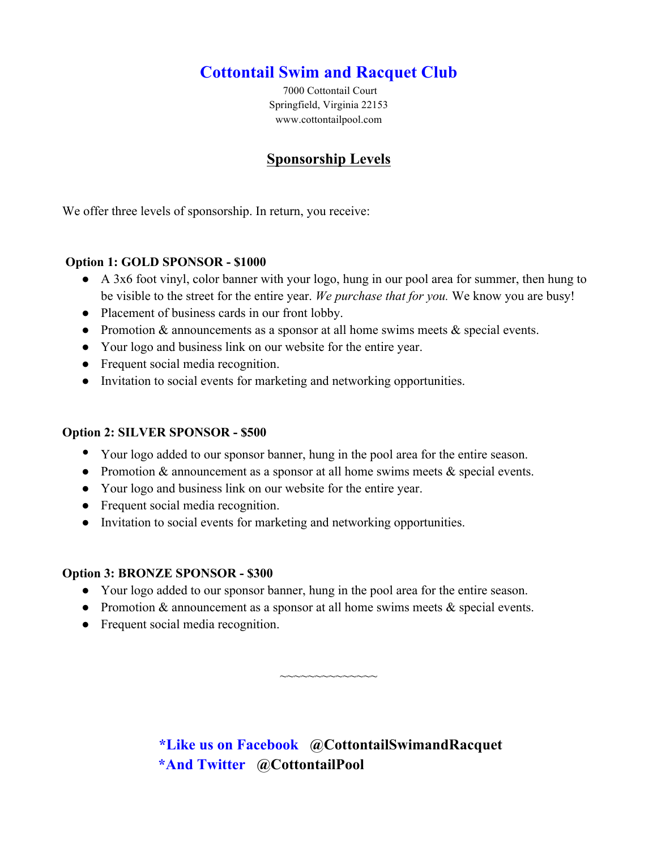# **Cottontail Swim and Racquet Club**

7000 Cottontail Court Springfield, Virginia 22153 www.cottontailpool.com

### **Sponsorship Levels**

We offer three levels of sponsorship. In return, you receive:

#### **Option 1: GOLD SPONSOR - \$1000**

- A 3x6 foot vinyl, color banner with your logo, hung in our pool area for summer, then hung to be visible to the street for the entire year. *We purchase that for you.* We know you are busy!
- Placement of business cards in our front lobby.
- Promotion & announcements as a sponsor at all home swims meets & special events.
- Your logo and business link on our website for the entire year.
- Frequent social media recognition.
- Invitation to social events for marketing and networking opportunities.

#### **Option 2: SILVER SPONSOR - \$500**

- Your logo added to our sponsor banner, hung in the pool area for the entire season.
- Promotion & announcement as a sponsor at all home swims meets & special events.
- Your logo and business link on our website for the entire year.
- Frequent social media recognition.
- Invitation to social events for marketing and networking opportunities.

#### **Option 3: BRONZE SPONSOR - \$300**

- Your logo added to our sponsor banner, hung in the pool area for the entire season.
- Promotion & announcement as a sponsor at all home swims meets  $\&$  special events.
- Frequent social media recognition.

**\*Like us on Facebook @CottontailSwimandRacquet \*And Twitter @CottontailPool**

~~~~~~~~~~~~